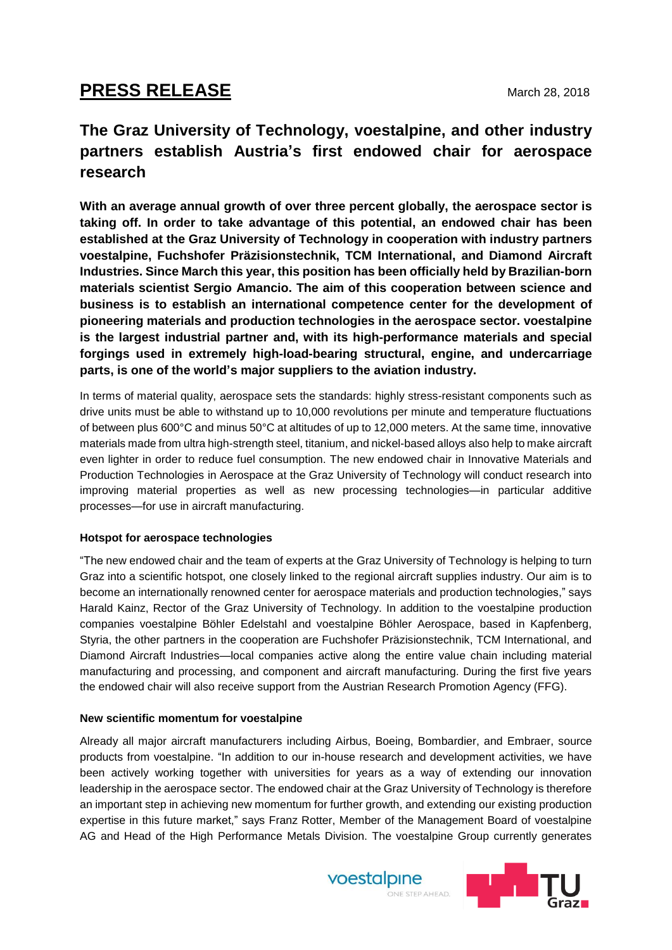# **PRESS RELEASE** March 28, 2018

# **The Graz University of Technology, voestalpine, and other industry partners establish Austria's first endowed chair for aerospace research**

**With an average annual growth of over three percent globally, the aerospace sector is taking off. In order to take advantage of this potential, an endowed chair has been established at the Graz University of Technology in cooperation with industry partners voestalpine, Fuchshofer Präzisionstechnik, TCM International, and Diamond Aircraft Industries. Since March this year, this position has been officially held by Brazilian-born materials scientist Sergio Amancio. The aim of this cooperation between science and business is to establish an international competence center for the development of pioneering materials and production technologies in the aerospace sector. voestalpine is the largest industrial partner and, with its high-performance materials and special forgings used in extremely high-load-bearing structural, engine, and undercarriage parts, is one of the world's major suppliers to the aviation industry.**

In terms of material quality, aerospace sets the standards: highly stress-resistant components such as drive units must be able to withstand up to 10,000 revolutions per minute and temperature fluctuations of between plus 600°C and minus 50°C at altitudes of up to 12,000 meters. At the same time, innovative materials made from ultra high-strength steel, titanium, and nickel-based alloys also help to make aircraft even lighter in order to reduce fuel consumption. The new endowed chair in Innovative Materials and Production Technologies in Aerospace at the Graz University of Technology will conduct research into improving material properties as well as new processing technologies—in particular additive processes—for use in aircraft manufacturing.

## **Hotspot for aerospace technologies**

"The new endowed chair and the team of experts at the Graz University of Technology is helping to turn Graz into a scientific hotspot, one closely linked to the regional aircraft supplies industry. Our aim is to become an internationally renowned center for aerospace materials and production technologies," says Harald Kainz, Rector of the Graz University of Technology. In addition to the voestalpine production companies voestalpine Böhler Edelstahl and voestalpine Böhler Aerospace, based in Kapfenberg, Styria, the other partners in the cooperation are Fuchshofer Präzisionstechnik, TCM International, and Diamond Aircraft Industries—local companies active along the entire value chain including material manufacturing and processing, and component and aircraft manufacturing. During the first five years the endowed chair will also receive support from the Austrian Research Promotion Agency (FFG).

## **New scientific momentum for voestalpine**

Already all major aircraft manufacturers including Airbus, Boeing, Bombardier, and Embraer, source products from voestalpine. "In addition to our in-house research and development activities, we have been actively working together with universities for years as a way of extending our innovation leadership in the aerospace sector. The endowed chair at the Graz University of Technology is therefore an important step in achieving new momentum for further growth, and extending our existing production expertise in this future market," says Franz Rotter, Member of the Management Board of voestalpine AG and Head of the High Performance Metals Division. The voestalpine Group currently generates



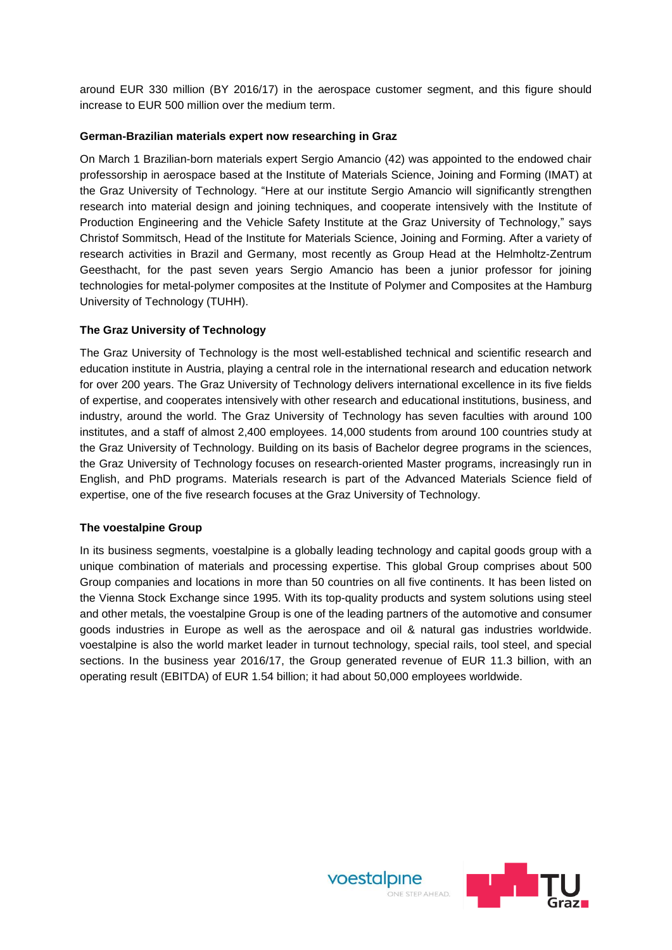around EUR 330 million (BY 2016/17) in the aerospace customer segment, and this figure should increase to EUR 500 million over the medium term.

#### **German-Brazilian materials expert now researching in Graz**

On March 1 Brazilian-born materials expert Sergio Amancio (42) was appointed to the endowed chair professorship in aerospace based at the Institute of Materials Science, Joining and Forming (IMAT) at the Graz University of Technology. "Here at our institute Sergio Amancio will significantly strengthen research into material design and joining techniques, and cooperate intensively with the Institute of Production Engineering and the Vehicle Safety Institute at the Graz University of Technology," says Christof Sommitsch, Head of the Institute for Materials Science, Joining and Forming. After a variety of research activities in Brazil and Germany, most recently as Group Head at the Helmholtz-Zentrum Geesthacht, for the past seven years Sergio Amancio has been a junior professor for joining technologies for metal-polymer composites at the Institute of Polymer and Composites at the Hamburg University of Technology (TUHH).

## **The Graz University of Technology**

The Graz University of Technology is the most well-established technical and scientific research and education institute in Austria, playing a central role in the international research and education network for over 200 years. The Graz University of Technology delivers international excellence in its five fields of expertise, and cooperates intensively with other research and educational institutions, business, and industry, around the world. The Graz University of Technology has seven faculties with around 100 institutes, and a staff of almost 2,400 employees. 14,000 students from around 100 countries study at the Graz University of Technology. Building on its basis of Bachelor degree programs in the sciences, the Graz University of Technology focuses on research-oriented Master programs, increasingly run in English, and PhD programs. Materials research is part of the Advanced Materials Science field of expertise, one of the five research focuses at the Graz University of Technology.

#### **The voestalpine Group**

In its business segments, voestalpine is a globally leading technology and capital goods group with a unique combination of materials and processing expertise. This global Group comprises about 500 Group companies and locations in more than 50 countries on all five continents. It has been listed on the Vienna Stock Exchange since 1995. With its top-quality products and system solutions using steel and other metals, the voestalpine Group is one of the leading partners of the automotive and consumer goods industries in Europe as well as the aerospace and oil & natural gas industries worldwide. voestalpine is also the world market leader in turnout technology, special rails, tool steel, and special sections. In the business year 2016/17, the Group generated revenue of EUR 11.3 billion, with an operating result (EBITDA) of EUR 1.54 billion; it had about 50,000 employees worldwide.